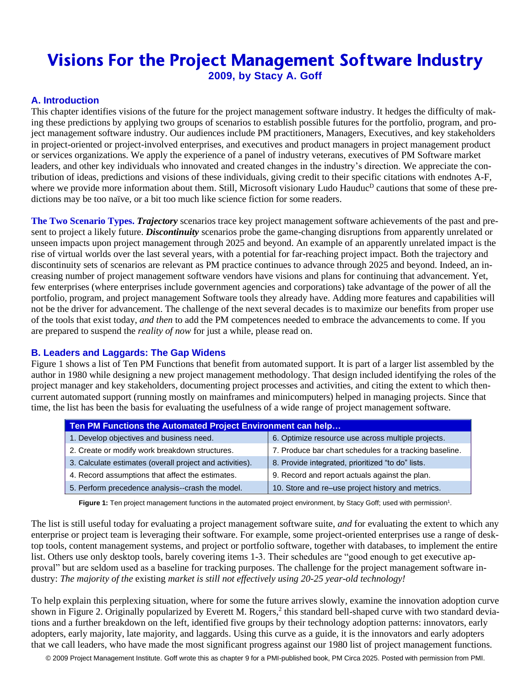## Visions For the Project Management Software Industry **2009, by Stacy A. Goff**

## **A. Introduction**

This chapter identifies visions of the future for the project management software industry. It hedges the difficulty of making these predictions by applying two groups of scenarios to establish possible futures for the portfolio, program, and project management software industry. Our audiences include PM practitioners, Managers, Executives, and key stakeholders in project-oriented or project-involved enterprises, and executives and product managers in project management product or services organizations. We apply the experience of a panel of industry veterans, executives of PM Software market leaders, and other key individuals who innovated and created changes in the industry's direction. We appreciate the contribution of ideas, predictions and visions of these individuals, giving credit to their specific citations with endnotes A-F, where we provide more information about them. Still, Microsoft visionary Ludo Hauduc<sup>D</sup> cautions that some of these predictions may be too naïve, or a bit too much like science fiction for some readers.

**The Two Scenario Types.** *Trajectory* scenarios trace key project management software achievements of the past and present to project a likely future. *Discontinuity* scenarios probe the game-changing disruptions from apparently unrelated or unseen impacts upon project management through 2025 and beyond. An example of an apparently unrelated impact is the rise of virtual worlds over the last several years, with a potential for far-reaching project impact. Both the trajectory and discontinuity sets of scenarios are relevant as PM practice continues to advance through 2025 and beyond. Indeed, an increasing number of project management software vendors have visions and plans for continuing that advancement. Yet, few enterprises (where enterprises include government agencies and corporations) take advantage of the power of all the portfolio, program, and project management Software tools they already have. Adding more features and capabilities will not be the driver for advancement. The challenge of the next several decades is to maximize our benefits from proper use of the tools that exist today, *and then* to add the PM competences needed to embrace the advancements to come. If you are prepared to suspend the *reality of now* for just a while, please read on.

## **B. Leaders and Laggards: The Gap Widens**

Figure 1 shows a list of Ten PM Functions that benefit from automated support. It is part of a larger list assembled by the author in 1980 while designing a new project management methodology. That design included identifying the roles of the project manager and key stakeholders, documenting project processes and activities, and citing the extent to which thencurrent automated support (running mostly on mainframes and minicomputers) helped in managing projects. Since that time, the list has been the basis for evaluating the usefulness of a wide range of project management software.

| Ten PM Functions the Automated Project Environment can help |                                                         |
|-------------------------------------------------------------|---------------------------------------------------------|
| 1. Develop objectives and business need.                    | 6. Optimize resource use across multiple projects.      |
| 2. Create or modify work breakdown structures.              | 7. Produce bar chart schedules for a tracking baseline. |
| 3. Calculate estimates (overall project and activities).    | 8. Provide integrated, prioritized "to do" lists.       |
| 4. Record assumptions that affect the estimates.            | 9. Record and report actuals against the plan.          |
| 5. Perform precedence analysis--crash the model.            | 10. Store and re-use project history and metrics.       |

Figure 1: Ten project management functions in the automated project environment, by Stacy Goff; used with permission<sup>1</sup>.

The list is still useful today for evaluating a project management software suite, *and* for evaluating the extent to which any enterprise or project team is leveraging their software. For example, some project-oriented enterprises use a range of desktop tools, content management systems, and project or portfolio software, together with databases, to implement the entire list. Others use only desktop tools, barely covering items 1-3. Their schedules are "good enough to get executive approval" but are seldom used as a baseline for tracking purposes. The challenge for the project management software industry: *The majority of the* existing *market is still not effectively using 20-25 year-old technology!*

To help explain this perplexing situation, where for some the future arrives slowly, examine the innovation adoption curve shown in Figure 2. Originally popularized by Everett M. Rogers,<sup>2</sup> this standard bell-shaped curve with two standard deviations and a further breakdown on the left, identified five groups by their technology adoption patterns: innovators, early adopters, early majority, late majority, and laggards. Using this curve as a guide, it is the innovators and early adopters that we call leaders, who have made the most significant progress against our 1980 list of project management functions.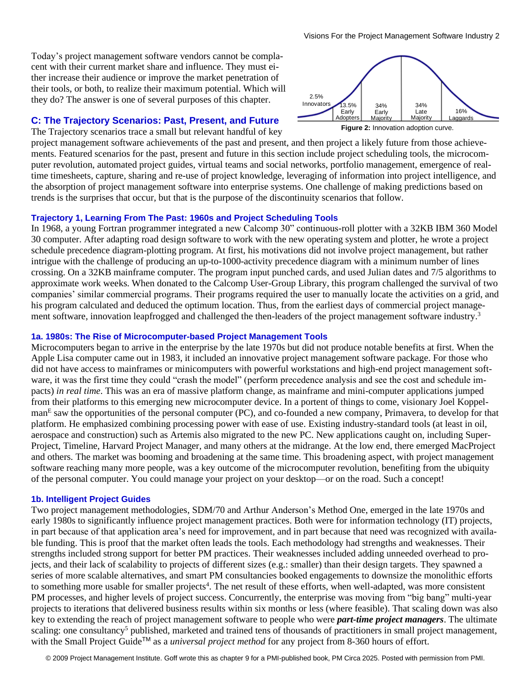Today's project management software vendors cannot be complacent with their current market share and influence. They must either increase their audience or improve the market penetration of their tools, or both, to realize their maximum potential. Which will they do? The answer is one of several purposes of this chapter.

#### **C: The Trajectory Scenarios: Past, Present, and Future**

The Trajectory scenarios trace a small but relevant handful of key

project management software achievements of the past and present, and then project a likely future from those achievements. Featured scenarios for the past, present and future in this section include project scheduling tools, the microcomputer revolution, automated project guides, virtual teams and social networks, portfolio management, emergence of realtime timesheets, capture, sharing and re-use of project knowledge, leveraging of information into project intelligence, and the absorption of project management software into enterprise systems. One challenge of making predictions based on trends is the surprises that occur, but that is the purpose of the discontinuity scenarios that follow.

#### **Trajectory 1, Learning From The Past: 1960s and Project Scheduling Tools**

In 1968, a young Fortran programmer integrated a new Calcomp 30" continuous-roll plotter with a 32KB IBM 360 Model 30 computer. After adapting road design software to work with the new operating system and plotter, he wrote a project schedule precedence diagram-plotting program. At first, his motivations did not involve project management, but rather intrigue with the challenge of producing an up-to-1000-activity precedence diagram with a minimum number of lines crossing. On a 32KB mainframe computer. The program input punched cards, and used Julian dates and 7/5 algorithms to approximate work weeks. When donated to the Calcomp User-Group Library, this program challenged the survival of two companies' similar commercial programs. Their programs required the user to manually locate the activities on a grid, and his program calculated and deduced the optimum location. Thus, from the earliest days of commercial project management software, innovation leapfrogged and challenged the then-leaders of the project management software industry.<sup>3</sup>

#### **1a. 1980s: The Rise of Microcomputer-based Project Management Tools**

Microcomputers began to arrive in the enterprise by the late 1970s but did not produce notable benefits at first. When the Apple Lisa computer came out in 1983, it included an innovative project management software package. For those who did not have access to mainframes or minicomputers with powerful workstations and high-end project management software, it was the first time they could "crash the model" (perform precedence analysis and see the cost and schedule impacts) *in real time*. This was an era of massive platform change, as mainframe and mini-computer applications jumped from their platforms to this emerging new microcomputer device. In a portent of things to come, visionary Joel Koppelman<sup>E</sup> saw the opportunities of the personal computer (PC), and co-founded a new company, Primavera, to develop for that platform. He emphasized combining processing power with ease of use. Existing industry-standard tools (at least in oil, aerospace and construction) such as Artemis also migrated to the new PC. New applications caught on, including Super-Project, Timeline, Harvard Project Manager, and many others at the midrange. At the low end, there emerged MacProject and others. The market was booming and broadening at the same time. This broadening aspect, with project management software reaching many more people, was a key outcome of the microcomputer revolution, benefiting from the ubiquity of the personal computer. You could manage your project on your desktop—or on the road. Such a concept!

#### **1b. Intelligent Project Guides**

Two project management methodologies, SDM/70 and Arthur Anderson's Method One, emerged in the late 1970s and early 1980s to significantly influence project management practices. Both were for information technology (IT) projects, in part because of that application area's need for improvement, and in part because that need was recognized with available funding. This is proof that the market often leads the tools. Each methodology had strengths and weaknesses. Their strengths included strong support for better PM practices. Their weaknesses included adding unneeded overhead to projects, and their lack of scalability to projects of different sizes (e.g.: smaller) than their design targets. They spawned a series of more scalable alternatives, and smart PM consultancies booked engagements to downsize the monolithic efforts to something more usable for smaller projects<sup>4</sup>. The net result of these efforts, when well-adapted, was more consistent PM processes, and higher levels of project success. Concurrently, the enterprise was moving from "big bang" multi-year projects to iterations that delivered business results within six months or less (where feasible). That scaling down was also key to extending the reach of project management software to people who were *part-time project managers*. The ultimate scaling: one consultancy<sup>5</sup> published, marketed and trained tens of thousands of practitioners in small project management, with the Small Project Guide<sup>TM</sup> as a *universal project method* for any project from 8-360 hours of effort.



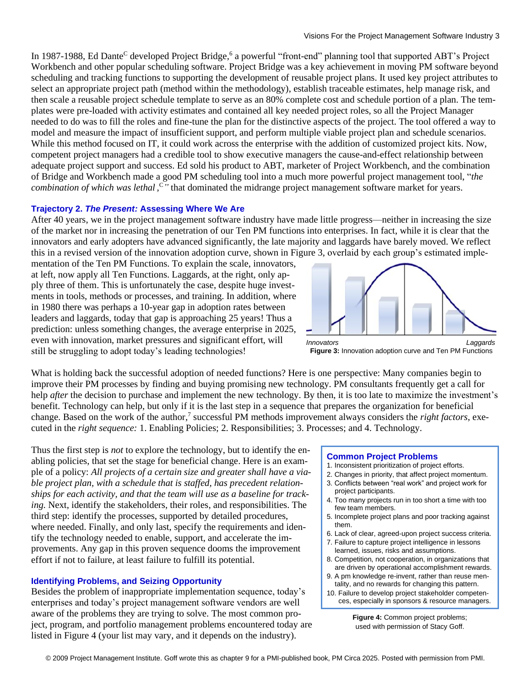In 1987-1988, Ed Dante<sup>C</sup> developed Project Bridge,<sup>6</sup> a powerful "front-end" planning tool that supported ABT's Project Workbench and other popular scheduling software. Project Bridge was a key achievement in moving PM software beyond scheduling and tracking functions to supporting the development of reusable project plans. It used key project attributes to select an appropriate project path (method within the methodology), establish traceable estimates, help manage risk, and then scale a reusable project schedule template to serve as an 80% complete cost and schedule portion of a plan. The templates were pre-loaded with activity estimates and contained all key needed project roles, so all the Project Manager needed to do was to fill the roles and fine-tune the plan for the distinctive aspects of the project. The tool offered a way to model and measure the impact of insufficient support, and perform multiple viable project plan and schedule scenarios. While this method focused on IT, it could work across the enterprise with the addition of customized project kits. Now, competent project managers had a credible tool to show executive managers the cause-and-effect relationship between adequate project support and success. Ed sold his product to ABT, marketer of Project Workbench, and the combination of Bridge and Workbench made a good PM scheduling tool into a much more powerful project management tool, "*the combination of which was lethal*, <sup>*C*</sup> that dominated the midrange project management software market for years.

#### **Trajectory 2.** *The Present:* **Assessing Where We Are**

After 40 years, we in the project management software industry have made little progress—neither in increasing the size of the market nor in increasing the penetration of our Ten PM functions into enterprises. In fact, while it is clear that the innovators and early adopters have advanced significantly, the late majority and laggards have barely moved. We reflect this in a revised version of the innovation adoption curve, shown in Figure 3, overlaid by each group's estimated imple-

mentation of the Ten PM Functions. To explain the scale, innovators, at left, now apply all Ten Functions. Laggards, at the right, only apply three of them. This is unfortunately the case, despite huge investments in tools, methods or processes, and training. In addition, where in 1980 there was perhaps a 10-year gap in adoption rates between leaders and laggards, today that gap is approaching 25 years! Thus a prediction: unless something changes, the average enterprise in 2025, even with innovation, market pressures and significant effort, will still be struggling to adopt today's leading technologies!



**Figure 3:** Innovation adoption curve and Ten PM Functions

What is holding back the successful adoption of needed functions? Here is one perspective: Many companies begin to improve their PM processes by finding and buying promising new technology. PM consultants frequently get a call for help *after* the decision to purchase and implement the new technology. By then, it is too late to maximize the investment's benefit. Technology can help, but only if it is the last step in a sequence that prepares the organization for beneficial change. Based on the work of the author, 7 successful PM methods improvement always considers the *right factors*, executed in the *right sequence:* 1. Enabling Policies; 2. Responsibilities; 3. Processes; and 4. Technology.

Thus the first step is *not* to explore the technology, but to identify the enabling policies, that set the stage for beneficial change. Here is an example of a policy: *All projects of a certain size and greater shall have a viable project plan, with a schedule that is staffed, has precedent relationships for each activity, and that the team will use as a baseline for tracking.* Next, identify the stakeholders, their roles, and responsibilities. The third step: identify the processes, supported by detailed procedures, where needed. Finally, and only last, specify the requirements and identify the technology needed to enable, support, and accelerate the improvements. Any gap in this proven sequence dooms the improvement effort if not to failure, at least failure to fulfill its potential.

#### **Identifying Problems, and Seizing Opportunity**

Besides the problem of inappropriate implementation sequence, today's enterprises and today's project management software vendors are well aware of the problems they are trying to solve. The most common project, program, and portfolio management problems encountered today are listed in Figure 4 (your list may vary, and it depends on the industry).

#### **Common Project Problems**

- 1. Inconsistent prioritization of project efforts.
- 2. Changes in priority, that affect project momentum.
- 3. Conflicts between "real work" and project work for project participants.
- 4. Too many projects run in too short a time with too few team members.
- 5. Incomplete project plans and poor tracking against them.
- 6. Lack of clear, agreed-upon project success criteria.
- 7. Failure to capture project intelligence in lessons learned, issues, risks and assumptions.
- 8. Competition, not cooperation, in organizations that are driven by operational accomplishment rewards.
- 9. A pm knowledge re-invent, rather than reuse mentality, and no rewards for changing this pattern.
- 10. Failure to develop project stakeholder competences, especially in sponsors & resource managers.

**Figure 4:** Common project problems; used with permission of Stacy Goff.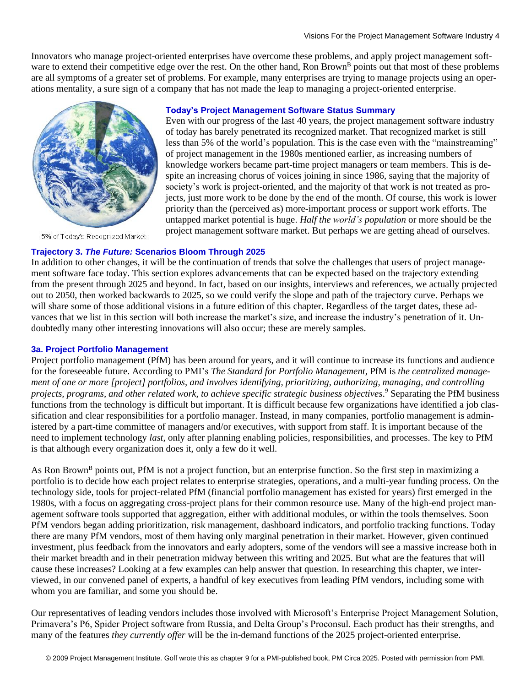Innovators who manage project-oriented enterprises have overcome these problems, and apply project management software to extend their competitive edge over the rest. On the other hand, Ron Brown<sup>B</sup> points out that most of these problems are all symptoms of a greater set of problems. For example, many enterprises are trying to manage projects using an operations mentality, a sure sign of a company that has not made the leap to managing a project-oriented enterprise.



5% of Today's Recognized Market

#### **Today's Project Management Software Status Summary**

Even with our progress of the last 40 years, the project management software industry of today has barely penetrated its recognized market. That recognized market is still less than 5% of the world's population. This is the case even with the "mainstreaming" of project management in the 1980s mentioned earlier, as increasing numbers of knowledge workers became part-time project managers or team members. This is despite an increasing chorus of voices joining in since 1986, saying that the majority of society's work is project-oriented, and the majority of that work is not treated as projects, just more work to be done by the end of the month. Of course, this work is lower priority than the (perceived as) more-important process or support work efforts. The untapped market potential is huge. *Half the world's population* or more should be the project management software market. But perhaps we are getting ahead of ourselves.

#### **Trajectory 3.** *The Future:* **Scenarios Bloom Through 2025**

In addition to other changes, it will be the continuation of trends that solve the challenges that users of project management software face today. This section explores advancements that can be expected based on the trajectory extending from the present through 2025 and beyond. In fact, based on our insights, interviews and references, we actually projected out to 2050, then worked backwards to 2025, so we could verify the slope and path of the trajectory curve. Perhaps we will share some of those additional visions in a future edition of this chapter. Regardless of the target dates, these advances that we list in this section will both increase the market's size, and increase the industry's penetration of it. Undoubtedly many other interesting innovations will also occur; these are merely samples.

#### **3a. Project Portfolio Management**

Project portfolio management (PfM) has been around for years, and it will continue to increase its functions and audience for the foreseeable future. According to PMI's *The Standard for Portfolio Management*, PfM is *the centralized management of one or more [project] portfolios, and involves identifying, prioritizing, authorizing, managing, and controlling projects, programs, and other related work, to achieve specific strategic business objectives*. *<sup>9</sup>* Separating the PfM business functions from the technology is difficult but important. It is difficult because few organizations have identified a job classification and clear responsibilities for a portfolio manager. Instead, in many companies, portfolio management is administered by a part-time committee of managers and/or executives, with support from staff. It is important because of the need to implement technology *last*, only after planning enabling policies, responsibilities, and processes. The key to PfM is that although every organization does it, only a few do it well.

As Ron Brown<sup>B</sup> points out, PfM is not a project function, but an enterprise function. So the first step in maximizing a portfolio is to decide how each project relates to enterprise strategies, operations, and a multi-year funding process. On the technology side, tools for project-related PfM (financial portfolio management has existed for years) first emerged in the 1980s, with a focus on aggregating cross-project plans for their common resource use. Many of the high-end project management software tools supported that aggregation, either with additional modules, or within the tools themselves. Soon PfM vendors began adding prioritization, risk management, dashboard indicators, and portfolio tracking functions. Today there are many PfM vendors, most of them having only marginal penetration in their market. However, given continued investment, plus feedback from the innovators and early adopters, some of the vendors will see a massive increase both in their market breadth and in their penetration midway between this writing and 2025. But what are the features that will cause these increases? Looking at a few examples can help answer that question. In researching this chapter, we interviewed, in our convened panel of experts, a handful of key executives from leading PfM vendors, including some with whom you are familiar, and some you should be.

Our representatives of leading vendors includes those involved with Microsoft's Enterprise Project Management Solution, Primavera's P6, Spider Project software from Russia, and Delta Group's Proconsul. Each product has their strengths, and many of the features *they currently offer* will be the in-demand functions of the 2025 project-oriented enterprise.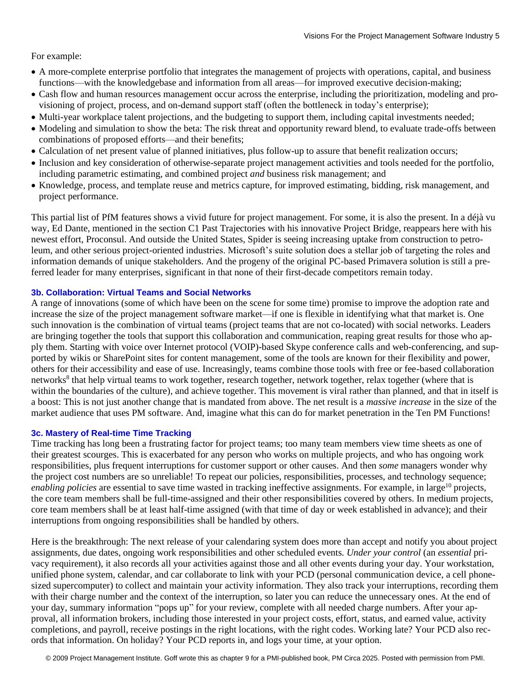For example:

- A more-complete enterprise portfolio that integrates the management of projects with operations, capital, and business functions—with the knowledgebase and information from all areas—for improved executive decision-making;
- Cash flow and human resources management occur across the enterprise, including the prioritization, modeling and provisioning of project, process, and on-demand support staff (often the bottleneck in today's enterprise);
- Multi-year workplace talent projections, and the budgeting to support them, including capital investments needed;
- Modeling and simulation to show the beta: The risk threat and opportunity reward blend, to evaluate trade-offs between combinations of proposed efforts—and their benefits;
- Calculation of net present value of planned initiatives, plus follow-up to assure that benefit realization occurs;
- Inclusion and key consideration of otherwise-separate project management activities and tools needed for the portfolio, including parametric estimating, and combined project *and* business risk management; and
- Knowledge, process, and template reuse and metrics capture, for improved estimating, bidding, risk management, and project performance.

This partial list of PfM features shows a vivid future for project management. For some, it is also the present. In a déjà vu way, Ed Dante, mentioned in the section C1 Past Trajectories with his innovative Project Bridge, reappears here with his newest effort, Proconsul. And outside the United States, Spider is seeing increasing uptake from construction to petroleum, and other serious project-oriented industries. Microsoft's suite solution does a stellar job of targeting the roles and information demands of unique stakeholders. And the progeny of the original PC-based Primavera solution is still a preferred leader for many enterprises, significant in that none of their first-decade competitors remain today.

#### **3b. Collaboration: Virtual Teams and Social Networks**

A range of innovations (some of which have been on the scene for some time) promise to improve the adoption rate and increase the size of the project management software market—if one is flexible in identifying what that market is. One such innovation is the combination of virtual teams (project teams that are not co-located) with social networks. Leaders are bringing together the tools that support this collaboration and communication, reaping great results for those who apply them. Starting with voice over Internet protocol (VOIP)-based Skype conference calls and web-conferencing, and supported by wikis or SharePoint sites for content management, some of the tools are known for their flexibility and power, others for their accessibility and ease of use. Increasingly, teams combine those tools with free or fee-based collaboration networks<sup>8</sup> that help virtual teams to work together, research together, network together, relax together (where that is within the boundaries of the culture), and achieve together. This movement is viral rather than planned, and that in itself is a boost: This is not just another change that is mandated from above. The net result is a *massive increase* in the size of the market audience that uses PM software. And, imagine what this can do for market penetration in the Ten PM Functions!

#### **3c. Mastery of Real-time Time Tracking**

Time tracking has long been a frustrating factor for project teams; too many team members view time sheets as one of their greatest scourges. This is exacerbated for any person who works on multiple projects, and who has ongoing work responsibilities, plus frequent interruptions for customer support or other causes. And then *some* managers wonder why the project cost numbers are so unreliable! To repeat our policies, responsibilities, processes, and technology sequence; *enabling policies* are essential to save time wasted in tracking ineffective assignments. For example, in large<sup>10</sup> projects, the core team members shall be full-time-assigned and their other responsibilities covered by others. In medium projects, core team members shall be at least half-time assigned (with that time of day or week established in advance); and their interruptions from ongoing responsibilities shall be handled by others.

Here is the breakthrough: The next release of your calendaring system does more than accept and notify you about project assignments, due dates, ongoing work responsibilities and other scheduled events. *Under your control* (an *essential* privacy requirement), it also records all your activities against those and all other events during your day. Your workstation, unified phone system, calendar, and car collaborate to link with your PCD (personal communication device, a cell phonesized supercomputer) to collect and maintain your activity information. They also track your interruptions, recording them with their charge number and the context of the interruption, so later you can reduce the unnecessary ones. At the end of your day, summary information "pops up" for your review, complete with all needed charge numbers. After your approval, all information brokers, including those interested in your project costs, effort, status, and earned value, activity completions, and payroll, receive postings in the right locations, with the right codes. Working late? Your PCD also records that information. On holiday? Your PCD reports in, and logs your time, at your option.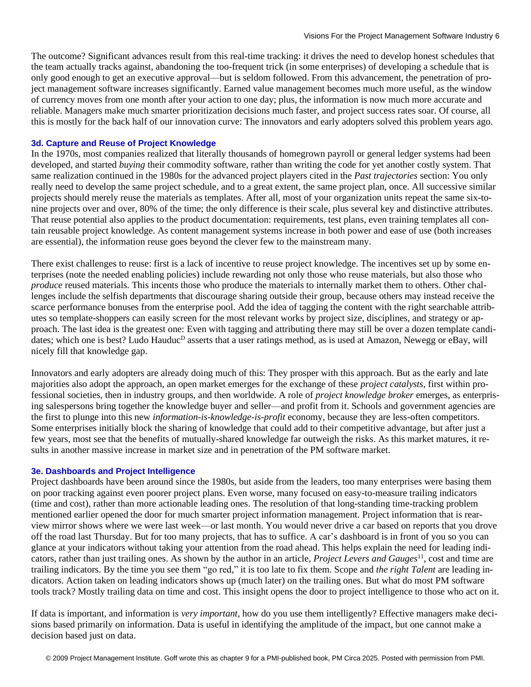The outcome? Significant advances result from this real-time tracking: it drives the need to develop honest schedules that the team actually tracks against, abandoning the too-frequent trick (in some enterprises) of developing a schedule that is only good enough to get an executive approval—but is seldom followed. From this advancement, the penetration of project management software increases significantly. Earned value management becomes much more useful, as the window of currency moves from one month after your action to one day; plus, the information is now much more accurate and reliable. Managers make much smarter prioritization decisions much faster, and project success rates soar. Of course, all this is mostly for the back half of our innovation curve: The innovators and early adopters solved this problem years ago.

#### **3d. Capture and Reuse of Project Knowledge**

In the 1970s, most companies realized that literally thousands of homegrown payroll or general ledger systems had been developed, and started *buying* their commodity software, rather than writing the code for yet another costly system. That same realization continued in the 1980s for the advanced project players cited in the *Past trajectories* section: You only really need to develop the same project schedule, and to a great extent, the same project plan, once. All successive similar projects should merely reuse the materials as templates. After all, most of your organization units repeat the same six-tonine projects over and over, 80% of the time; the only difference is their scale, plus several key and distinctive attributes. That reuse potential also applies to the product documentation: requirements, test plans, even training templates all contain reusable project knowledge. As content management systems increase in both power and ease of use (both increases are essential), the information reuse goes beyond the clever few to the mainstream many.

There exist challenges to reuse: first is a lack of incentive to reuse project knowledge. The incentives set up by some enterprises (note the needed enabling policies) include rewarding not only those who reuse materials, but also those who *produce* reused materials. This incents those who produce the materials to internally market them to others. Other challenges include the selfish departments that discourage sharing outside their group, because others may instead receive the scarce performance bonuses from the enterprise pool. Add the idea of tagging the content with the right searchable attributes so template-shoppers can easily screen for the most relevant works by project size, disciplines, and strategy or approach. The last idea is the greatest one: Even with tagging and attributing there may still be over a dozen template candidates; which one is best? Ludo Hauduc<sup>D</sup> asserts that a user ratings method, as is used at Amazon, Newegg or eBay, will nicely fill that knowledge gap.

Innovators and early adopters are already doing much of this: They prosper with this approach. But as the early and late majorities also adopt the approach, an open market emerges for the exchange of these *project catalysts*, first within professional societies, then in industry groups, and then worldwide. A role of *project knowledge broker* emerges, as enterprising salespersons bring together the knowledge buyer and seller—and profit from it. Schools and government agencies are the first to plunge into this new *information-is-knowledge-is-profit* economy, because they are less-often competitors. Some enterprises initially block the sharing of knowledge that could add to their competitive advantage, but after just a few years, most see that the benefits of mutually-shared knowledge far outweigh the risks. As this market matures, it results in another massive increase in market size and in penetration of the PM software market.

#### **3e. Dashboards and Project Intelligence**

Project dashboards have been around since the 1980s, but aside from the leaders, too many enterprises were basing them on poor tracking against even poorer project plans. Even worse, many focused on easy-to-measure trailing indicators (time and cost), rather than more actionable leading ones. The resolution of that long-standing time-tracking problem mentioned earlier opened the door for much smarter project information management. Project information that is rearview mirror shows where we were last week—or last month. You would never drive a car based on reports that you drove off the road last Thursday. But for too many projects, that has to suffice. A car's dashboard is in front of you so you can glance at your indicators without taking your attention from the road ahead. This helps explain the need for leading indicators, rather than just trailing ones. As shown by the author in an article, *Project Levers and Gauges*<sup>11</sup> , cost and time are trailing indicators. By the time you see them "go red," it is too late to fix them. Scope and *the right Talent* are leading indicators. Action taken on leading indicators shows up (much later) on the trailing ones. But what do most PM software tools track? Mostly trailing data on time and cost. This insight opens the door to project intelligence to those who act on it.

If data is important, and information is *very important*, how do you use them intelligently? Effective managers make decisions based primarily on information. Data is useful in identifying the amplitude of the impact, but one cannot make a decision based just on data.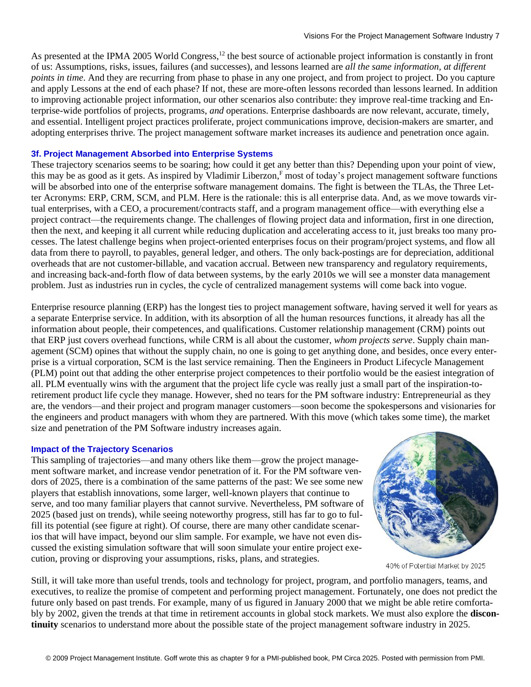As presented at the IPMA 2005 World Congress,<sup>12</sup> the best source of actionable project information is constantly in front of us: Assumptions, risks, issues, failures (and successes), and lessons learned are *all the same information, at different points in time*. And they are recurring from phase to phase in any one project, and from project to project. Do you capture and apply Lessons at the end of each phase? If not, these are more-often lessons recorded than lessons learned. In addition to improving actionable project information, our other scenarios also contribute: they improve real-time tracking and Enterprise-wide portfolios of projects, programs, *and* operations. Enterprise dashboards are now relevant, accurate, timely, and essential. Intelligent project practices proliferate, project communications improve, decision-makers are smarter, and adopting enterprises thrive. The project management software market increases its audience and penetration once again.

#### **3f. Project Management Absorbed into Enterprise Systems**

These trajectory scenarios seems to be soaring; how could it get any better than this? Depending upon your point of view, this may be as good as it gets. As inspired by Vladimir Liberzon,<sup>F</sup> most of today's project management software functions will be absorbed into one of the enterprise software management domains. The fight is between the TLAs, the Three Letter Acronyms: ERP, CRM, SCM, and PLM. Here is the rationale: this is all enterprise data. And, as we move towards virtual enterprises, with a CEO, a procurement/contracts staff, and a program management office—with everything else a project contract—the requirements change. The challenges of flowing project data and information, first in one direction, then the next, and keeping it all current while reducing duplication and accelerating access to it, just breaks too many processes. The latest challenge begins when project-oriented enterprises focus on their program/project systems, and flow all data from there to payroll, to payables, general ledger, and others. The only back-postings are for depreciation, additional overheads that are not customer-billable, and vacation accrual. Between new transparency and regulatory requirements, and increasing back-and-forth flow of data between systems, by the early 2010s we will see a monster data management problem. Just as industries run in cycles, the cycle of centralized management systems will come back into vogue.

Enterprise resource planning (ERP) has the longest ties to project management software, having served it well for years as a separate Enterprise service. In addition, with its absorption of all the human resources functions, it already has all the information about people, their competences, and qualifications. Customer relationship management (CRM) points out that ERP just covers overhead functions, while CRM is all about the customer, *whom projects serve*. Supply chain management (SCM) opines that without the supply chain, no one is going to get anything done, and besides, once every enterprise is a virtual corporation, SCM is the last service remaining. Then the Engineers in Product Lifecycle Management (PLM) point out that adding the other enterprise project competences to their portfolio would be the easiest integration of all. PLM eventually wins with the argument that the project life cycle was really just a small part of the inspiration-toretirement product life cycle they manage. However, shed no tears for the PM software industry: Entrepreneurial as they are, the vendors—and their project and program manager customers—soon become the spokespersons and visionaries for the engineers and product managers with whom they are partnered. With this move (which takes some time), the market size and penetration of the PM Software industry increases again.

#### **Impact of the Trajectory Scenarios**

This sampling of trajectories—and many others like them—grow the project management software market, and increase vendor penetration of it. For the PM software vendors of 2025, there is a combination of the same patterns of the past: We see some new players that establish innovations, some larger, well-known players that continue to serve, and too many familiar players that cannot survive. Nevertheless, PM software of 2025 (based just on trends), while seeing noteworthy progress, still has far to go to fulfill its potential (see figure at right). Of course, there are many other candidate scenarios that will have impact, beyond our slim sample. For example, we have not even discussed the existing simulation software that will soon simulate your entire project execution, proving or disproving your assumptions, risks, plans, and strategies.



40% of Potential Market by 2025

Still, it will take more than useful trends, tools and technology for project, program, and portfolio managers, teams, and executives, to realize the promise of competent and performing project management. Fortunately, one does not predict the future only based on past trends. For example, many of us figured in January 2000 that we might be able retire comfortably by 2002, given the trends at that time in retirement accounts in global stock markets. We must also explore the **discontinuity** scenarios to understand more about the possible state of the project management software industry in 2025.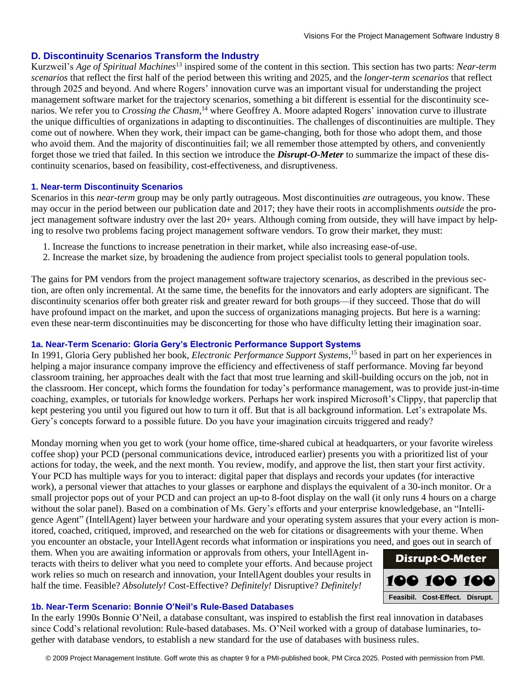## **D. Discontinuity Scenarios Transform the Industry**

Kurzweil's *Age of Spiritual Machines*<sup>13</sup> inspired some of the content in this section. This section has two parts: *Near-term scenarios* that reflect the first half of the period between this writing and 2025, and the *longer-term scenarios* that reflect through 2025 and beyond. And where Rogers' innovation curve was an important visual for understanding the project management software market for the trajectory scenarios, something a bit different is essential for the discontinuity scenarios. We refer you to *Crossing the Chasm*, <sup>14</sup> where Geoffrey A. Moore adapted Rogers' innovation curve to illustrate the unique difficulties of organizations in adapting to discontinuities. The challenges of discontinuities are multiple. They come out of nowhere. When they work, their impact can be game-changing, both for those who adopt them, and those who avoid them. And the majority of discontinuities fail; we all remember those attempted by others, and conveniently forget those we tried that failed. In this section we introduce the *Disrupt-O-Meter* to summarize the impact of these discontinuity scenarios, based on feasibility, cost-effectiveness, and disruptiveness.

#### **1. Near-term Discontinuity Scenarios**

Scenarios in this *near-term* group may be only partly outrageous. Most discontinuities *are* outrageous, you know. These may occur in the period between our publication date and 2017; they have their roots in accomplishments *outside* the project management software industry over the last 20+ years. Although coming from outside, they will have impact by helping to resolve two problems facing project management software vendors. To grow their market, they must:

- 1. Increase the functions to increase penetration in their market, while also increasing ease-of-use.
- 2. Increase the market size, by broadening the audience from project specialist tools to general population tools.

The gains for PM vendors from the project management software trajectory scenarios, as described in the previous section, are often only incremental. At the same time, the benefits for the innovators and early adopters are significant. The discontinuity scenarios offer both greater risk and greater reward for both groups—if they succeed. Those that do will have profound impact on the market, and upon the success of organizations managing projects. But here is a warning: even these near-term discontinuities may be disconcerting for those who have difficulty letting their imagination soar.

#### **1a. Near-Term Scenario: Gloria Gery's Electronic Performance Support Systems**

In 1991, Gloria Gery published her book, *Electronic Performance Support Systems*, <sup>15</sup> based in part on her experiences in helping a major insurance company improve the efficiency and effectiveness of staff performance. Moving far beyond classroom training, her approaches dealt with the fact that most true learning and skill-building occurs on the job, not in the classroom. Her concept, which forms the foundation for today's performance management, was to provide just-in-time coaching, examples, or tutorials for knowledge workers. Perhaps her work inspired Microsoft's Clippy, that paperclip that kept pestering you until you figured out how to turn it off. But that is all background information. Let's extrapolate Ms. Gery's concepts forward to a possible future. Do you have your imagination circuits triggered and ready?

Monday morning when you get to work (your home office, time-shared cubical at headquarters, or your favorite wireless coffee shop) your PCD (personal communications device, introduced earlier) presents you with a prioritized list of your actions for today, the week, and the next month. You review, modify, and approve the list, then start your first activity. Your PCD has multiple ways for you to interact: digital paper that displays and records your updates (for interactive work), a personal viewer that attaches to your glasses or earphone and displays the equivalent of a 30-inch monitor. Or a small projector pops out of your PCD and can project an up-to 8-foot display on the wall (it only runs 4 hours on a charge without the solar panel). Based on a combination of Ms. Gery's efforts and your enterprise knowledgebase, an "Intelligence Agent" (IntellAgent) layer between your hardware and your operating system assures that your every action is monitored, coached, critiqued, improved, and researched on the web for citations or disagreements with your theme. When you encounter an obstacle, your IntellAgent records what information or inspirations you need, and goes out in search of

them. When you are awaiting information or approvals from others, your IntellAgent interacts with theirs to deliver what you need to complete your efforts. And because project work relies so much on research and innovation, your IntellAgent doubles your results in half the time. Feasible? *Absolutely!* Cost-Effective? *Definitely!* Disruptive? *Definitely!* 

# 100 100 100 **Feasibil. Cost-Effect. Disrupt.**

**Disrupt-O-Meter**

#### **1b. Near-Term Scenario: Bonnie O'Neil's Rule-Based Databases**

In the early 1990s Bonnie O'Neil, a database consultant, was inspired to establish the first real innovation in databases since Codd's relational revolution: Rule-based databases. Ms. O'Neil worked with a group of database luminaries, together with database vendors, to establish a new standard for the use of databases with business rules.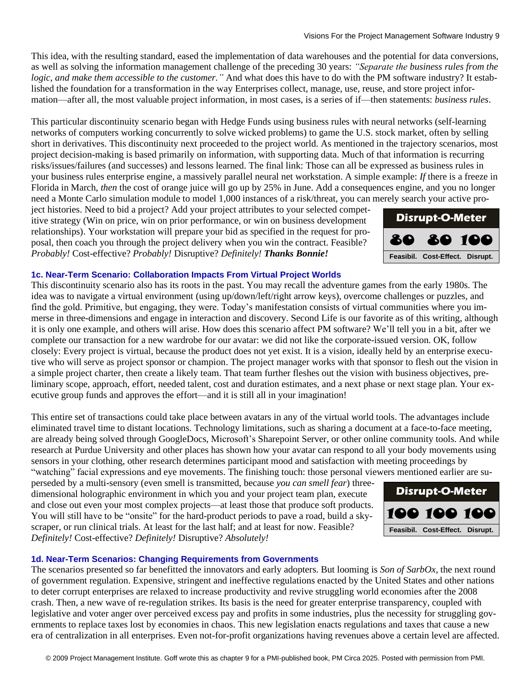This idea, with the resulting standard, eased the implementation of data warehouses and the potential for data conversions, as well as solving the information management challenge of the preceding 30 years: *"Separate the business rules from the logic, and make them accessible to the customer."* And what does this have to do with the PM software industry? It established the foundation for a transformation in the way Enterprises collect, manage, use, reuse, and store project information—after all, the most valuable project information, in most cases, is a series of if—then statements: *business rules*.

This particular discontinuity scenario began with Hedge Funds using business rules with neural networks (self-learning networks of computers working concurrently to solve wicked problems) to game the U.S. stock market, often by selling short in derivatives. This discontinuity next proceeded to the project world. As mentioned in the trajectory scenarios, most project decision-making is based primarily on information, with supporting data. Much of that information is recurring risks/issues/failures (and successes) and lessons learned. The final link: Those can all be expressed as business rules in your business rules enterprise engine, a massively parallel neural net workstation. A simple example: *If* there is a freeze in Florida in March, *then* the cost of orange juice will go up by 25% in June. Add a consequences engine, and you no longer need a Monte Carlo simulation module to model 1,000 instances of a risk/threat, you can merely search your active pro-

ject histories. Need to bid a project? Add your project attributes to your selected competitive strategy (Win on price, win on prior performance, or win on business development relationships). Your workstation will prepare your bid as specified in the request for proposal, then coach you through the project delivery when you win the contract. Feasible? *Probably!* Cost-effective? *Probably!* Disruptive? *Definitely! Thanks Bonnie!*

#### **1c. Near-Term Scenario: Collaboration Impacts From Virtual Project Worlds**

This discontinuity scenario also has its roots in the past. You may recall the adventure games from the early 1980s. The idea was to navigate a virtual environment (using up/down/left/right arrow keys), overcome challenges or puzzles, and find the gold. Primitive, but engaging, they were. Today's manifestation consists of virtual communities where you immerse in three-dimensions and engage in interaction and discovery. Second Life is our favorite as of this writing, although it is only one example, and others will arise. How does this scenario affect PM software? We'll tell you in a bit, after we complete our transaction for a new wardrobe for our avatar: we did not like the corporate-issued version. OK, follow closely: Every project is virtual, because the product does not yet exist. It is a vision, ideally held by an enterprise executive who will serve as project sponsor or champion. The project manager works with that sponsor to flesh out the vision in a simple project charter, then create a likely team. That team further fleshes out the vision with business objectives, preliminary scope, approach, effort, needed talent, cost and duration estimates, and a next phase or next stage plan. Your executive group funds and approves the effort—and it is still all in your imagination!

This entire set of transactions could take place between avatars in any of the virtual world tools. The advantages include eliminated travel time to distant locations. Technology limitations, such as sharing a document at a face-to-face meeting, are already being solved through GoogleDocs, Microsoft's Sharepoint Server, or other online community tools. And while research at Purdue University and other places has shown how your avatar can respond to all your body movements using sensors in your clothing, other research determines participant mood and satisfaction with meeting proceedings by "watching" facial expressions and eye movements. The finishing touch: those personal viewers mentioned earlier are su-

perseded by a multi-sensory (even smell is transmitted, because *you can smell fear*) threedimensional holographic environment in which you and your project team plan, execute and close out even your most complex projects—at least those that produce soft products. You will still have to be "onsite" for the hard-product periods to pave a road, build a skyscraper, or run clinical trials. At least for the last half; and at least for now. Feasible? *Definitely!* Cost-effective? *Definitely!* Disruptive? *Absolutely!*

#### **1d. Near-Term Scenarios: Changing Requirements from Governments**

The scenarios presented so far benefitted the innovators and early adopters. But looming is *Son of SarbOx*, the next round of government regulation. Expensive, stringent and ineffective regulations enacted by the United States and other nations to deter corrupt enterprises are relaxed to increase productivity and revive struggling world economies after the 2008 crash. Then, a new wave of re-regulation strikes. Its basis is the need for greater enterprise transparency, coupled with legislative and voter anger over perceived excess pay and profits in some industries, plus the necessity for struggling governments to replace taxes lost by economies in chaos. This new legislation enacts regulations and taxes that cause a new extrallization in all enterprises. Even not-for-profit organizations having revenues above a reating level are in the all enterprises.<br>
The will still have to be "onsite" for the hard-product periods to pave a road, build



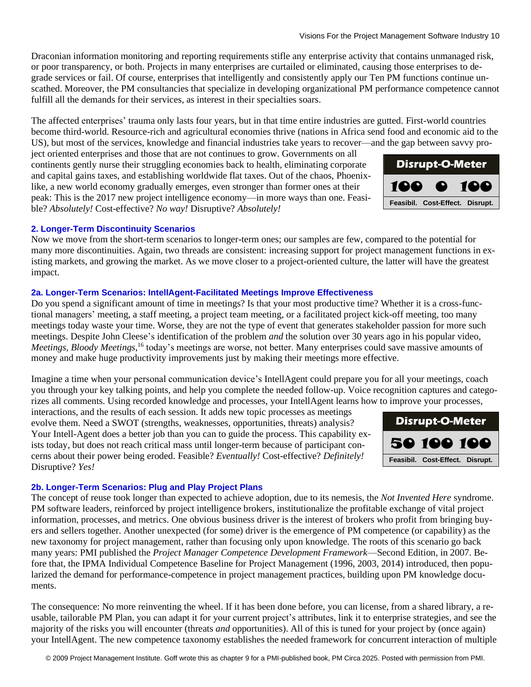Draconian information monitoring and reporting requirements stifle any enterprise activity that contains unmanaged risk, or poor transparency, or both. Projects in many enterprises are curtailed or eliminated, causing those enterprises to degrade services or fail. Of course, enterprises that intelligently and consistently apply our Ten PM functions continue unscathed. Moreover, the PM consultancies that specialize in developing organizational PM performance competence cannot fulfill all the demands for their services, as interest in their specialties soars.

The affected enterprises' trauma only lasts four years, but in that time entire industries are gutted. First-world countries become third-world. Resource-rich and agricultural economies thrive (nations in Africa send food and economic aid to the US), but most of the services, knowledge and financial industries take years to recover—and the gap between savvy pro-

ject oriented enterprises and those that are not continues to grow. Governments on all continents gently nurse their struggling economies back to health, eliminating corporate and capital gains taxes, and establishing worldwide flat taxes. Out of the chaos, Phoenixlike, a new world economy gradually emerges, even stronger than former ones at their peak: This is the 2017 new project intelligence economy—in more ways than one. Feasible? *Absolutely!* Cost-effective? *No way!* Disruptive? *Absolutely!*

#### **2. Longer-Term Discontinuity Scenarios**

Now we move from the short-term scenarios to longer-term ones; our samples are few, compared to the potential for many more discontinuities. Again, two threads are consistent: increasing support for project management functions in existing markets, and growing the market. As we move closer to a project-oriented culture, the latter will have the greatest impact.

#### **2a. Longer-Term Scenarios: IntellAgent-Facilitated Meetings Improve Effectiveness**

Do you spend a significant amount of time in meetings? Is that your most productive time? Whether it is a cross-functional managers' meeting, a staff meeting, a project team meeting, or a facilitated project kick-off meeting, too many meetings today waste your time. Worse, they are not the type of event that generates stakeholder passion for more such meetings. Despite John Cleese's identification of the problem *and* the solution over 30 years ago in his popular video, Meetings, Bloody Meetings,<sup>16</sup> today's meetings are worse, not better. Many enterprises could save massive amounts of money and make huge productivity improvements just by making their meetings more effective.

Imagine a time when your personal communication device's IntellAgent could prepare you for all your meetings, coach you through your key talking points, and help you complete the needed follow-up. Voice recognition captures and categorizes all comments. Using recorded knowledge and processes, your IntellAgent learns how to improve your processes,

interactions, and the results of each session. It adds new topic processes as meetings evolve them. Need a SWOT (strengths, weaknesses, opportunities, threats) analysis? Your Intell-Agent does a better job than you can to guide the process. This capability exists today, but does not reach critical mass until longer-term because of participant concerns about their power being eroded. Feasible? *Eventually!* Cost-effective? *Definitely!* Disruptive? *Yes!*

#### **2b. Longer-Term Scenarios: Plug and Play Project Plans**

The concept of reuse took longer than expected to achieve adoption, due to its nemesis, the *Not Invented Here* syndrome. PM software leaders, reinforced by project intelligence brokers, institutionalize the profitable exchange of vital project information, processes, and metrics. One obvious business driver is the interest of brokers who profit from bringing buyers and sellers together. Another unexpected (for some) driver is the emergence of PM competence (or capability) as the new taxonomy for project management, rather than focusing only upon knowledge. The roots of this scenario go back many years: PMI published the *Project Manager Competence Development Framework*—Second Edition, in 2007. Before that, the IPMA Individual Competence Baseline for Project Management (1996, 2003, 2014) introduced, then popularized the demand for performance-competence in project management practices, building upon PM knowledge documents. your Intellagent the strengthing competition of the new competition funitinating competition. The new work of the new competition interaction of the new competition interaction of the new competition of the new competitio

The consequence: No more reinventing the wheel. If it has been done before, you can license, from a shared library, a reusable, tailorable PM Plan, you can adapt it for your current project's attributes, link it to enterprise strategies, and see the majority of the risks you will encounter (threats *and* opportunities). All of this is tuned for your project by (once again)



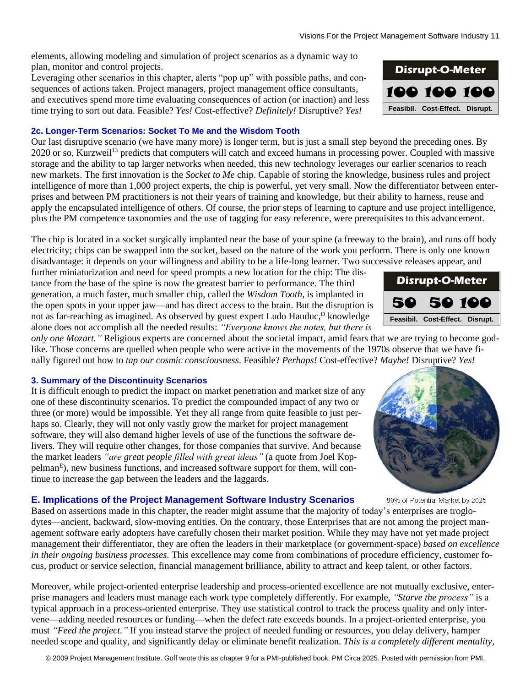elements, allowing modeling and simulation of project scenarios as a dynamic way to plan, monitor and control projects.

Leveraging other scenarios in this chapter, alerts "pop up" with possible paths, and consequences of actions taken. Project managers, project management office consultants, and executives spend more time evaluating consequences of action (or inaction) and less time trying to sort out data. Feasible? *Yes!* Cost-effective? *Definitely!* Disruptive? *Yes!*

## **2c. Longer-Term Scenarios: Socket To Me and the Wisdom Tooth**

Our last disruptive scenario (we have many more) is longer term, but is just a small step beyond the preceding ones. By 2020 or so, Kurzweil<sup>13</sup> predicts that computers will catch and exceed humans in processing power. Coupled with massive storage and the ability to tap larger networks when needed, this new technology leverages our earlier scenarios to reach new markets. The first innovation is the *Socket to Me* chip. Capable of storing the knowledge, business rules and project intelligence of more than 1,000 project experts, the chip is powerful, yet very small. Now the differentiator between enterprises and between PM practitioners is not their years of training and knowledge, but their ability to harness, reuse and apply the encapsulated intelligence of others. Of course, the prior steps of learning to capture and use project intelligence, plus the PM competence taxonomies and the use of tagging for easy reference, were prerequisites to this advancement.

The chip is located in a socket surgically implanted near the base of your spine (a freeway to the brain), and runs off body electricity; chips can be swapped into the socket, based on the nature of the work you perform. There is only one known disadvantage: it depends on your willingness and ability to be a life-long learner. Two successive releases appear, and

further miniaturization and need for speed prompts a new location for the chip: The distance from the base of the spine is now the greatest barrier to performance. The third generation, a much faster, much smaller chip, called the *Wisdom Tooth*, is implanted in the open spots in your upper jaw—and has direct access to the brain. But the disruption is not as far-reaching as imagined. As observed by guest expert Ludo Hauduc,<sup>D</sup> knowledge alone does not accomplish all the needed results: *"Everyone knows the notes, but there is* 

*only one Mozart.*" Religious experts are concerned about the societal impact, amid fears that we are trying to become godlike. Those concerns are quelled when people who were active in the movements of the 1970s observe that we have finally figured out how to *tap our cosmic consciousness*. Feasible? *Perhaps!* Cost-effective? *Maybe!* Disruptive? *Yes!*

## **3. Summary of the Discontinuity Scenarios**

It is difficult enough to predict the impact on market penetration and market size of any one of these discontinuity scenarios. To predict the compounded impact of any two or three (or more) would be impossible. Yet they all range from quite feasible to just perhaps so. Clearly, they will not only vastly grow the market for project management software, they will also demand higher levels of use of the functions the software delivers. They will require other changes, for those companies that survive. And because the market leaders *"are great people filled with great ideas"* (a quote from Joel Koppelman<sup>E</sup>), new business functions, and increased software support for them, will continue to increase the gap between the leaders and the laggards.

## **E. Implications of the Project Management Software Industry Scenarios**

Based on assertions made in this chapter, the reader might assume that the majority of today's enterprises are troglodytes—ancient, backward, slow-moving entities. On the contrary, those Enterprises that are not among the project management software early adopters have carefully chosen their market position. While they may have not yet made project management their differentiator, they are often the leaders in their marketplace (or government-space) *based on excellence in their ongoing business processes.* This excellence may come from combinations of procedure efficiency, customer focus, product or service selection, financial management brilliance, ability to attract and keep talent, or other factors.

Moreover, while project-oriented enterprise leadership and process-oriented excellence are not mutually exclusive, enterprise managers and leaders must manage each work type completely differently. For example, *"Starve the process"* is a typical approach in a process-oriented enterprise. They use statistical control to track the process quality and only intervene—adding needed resources or funding—when the defect rate exceeds bounds. In a project-oriented enterprise, you must *"Feed the project."* If you instead starve the project of needed funding or resources, you delay delivery, hamper needed scope and quality, and significantly delay or eliminate benefit realization. *This is a completely different mentality,*







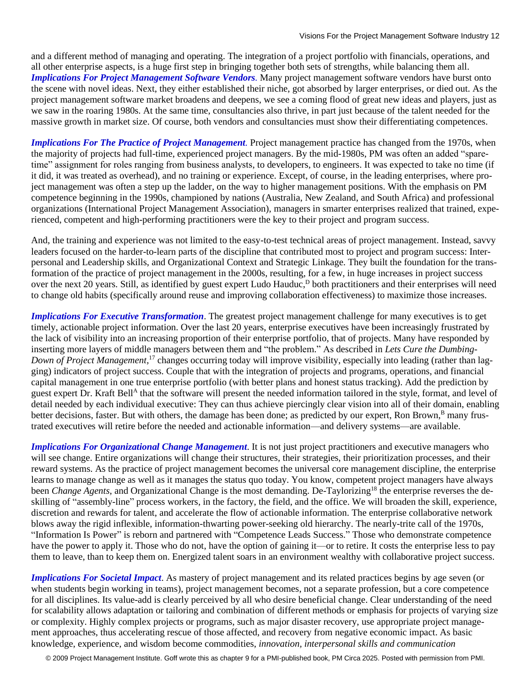and a different method of managing and operating. The integration of a project portfolio with financials, operations, and all other enterprise aspects, is a huge first step in bringing together both sets of strengths, while balancing them all. *Implications For Project Management Software Vendors.* Many project management software vendors have burst onto the scene with novel ideas. Next, they either established their niche, got absorbed by larger enterprises, or died out. As the project management software market broadens and deepens, we see a coming flood of great new ideas and players, just as we saw in the roaring 1980s. At the same time, consultancies also thrive, in part just because of the talent needed for the massive growth in market size. Of course, both vendors and consultancies must show their differentiating competences.

*Implications For The Practice of Project Management*. Project management practice has changed from the 1970s, when the majority of projects had full-time, experienced project managers. By the mid-1980s, PM was often an added "sparetime" assignment for roles ranging from business analysts, to developers, to engineers. It was expected to take no time (if it did, it was treated as overhead), and no training or experience. Except, of course, in the leading enterprises, where project management was often a step up the ladder, on the way to higher management positions. With the emphasis on PM competence beginning in the 1990s, championed by nations (Australia, New Zealand, and South Africa) and professional organizations (International Project Management Association), managers in smarter enterprises realized that trained, experienced, competent and high-performing practitioners were the key to their project and program success.

And, the training and experience was not limited to the easy-to-test technical areas of project management. Instead, savvy leaders focused on the harder-to-learn parts of the discipline that contributed most to project and program success: Interpersonal and Leadership skills, and Organizational Context and Strategic Linkage. They built the foundation for the transformation of the practice of project management in the 2000s, resulting, for a few, in huge increases in project success over the next 20 years. Still, as identified by guest expert Ludo Hauduc,<sup>D</sup> both practitioners and their enterprises will need to change old habits (specifically around reuse and improving collaboration effectiveness) to maximize those increases.

*Implications For Executive Transformation*. The greatest project management challenge for many executives is to get timely, actionable project information. Over the last 20 years, enterprise executives have been increasingly frustrated by the lack of visibility into an increasing proportion of their enterprise portfolio, that of projects. Many have responded by inserting more layers of middle managers between them and "the problem." As described in *Lets Cure the Dumbing-*Down of Project Management,<sup>17</sup> changes occurring today will improve visibility, especially into leading (rather than lagging) indicators of project success. Couple that with the integration of projects and programs, operations, and financial capital management in one true enterprise portfolio (with better plans and honest status tracking). Add the prediction by guest expert Dr. Kraft Bell<sup>A</sup> that the software will present the needed information tailored in the style, format, and level of detail needed by each individual executive: They can thus achieve piercingly clear vision into all of their domain, enabling better decisions, faster. But with others, the damage has been done; as predicted by our expert, Ron Brown,<sup>B</sup> many frustrated executives will retire before the needed and actionable information—and delivery systems—are available.

*Implications For Organizational Change Management*. It is not just project practitioners and executive managers who will see change. Entire organizations will change their structures, their strategies, their prioritization processes, and their reward systems. As the practice of project management becomes the universal core management discipline, the enterprise learns to manage change as well as it manages the status quo today. You know, competent project managers have always been *Change Agents*, and Organizational Change is the most demanding. De-Taylorizing<sup>18</sup> the enterprise reverses the deskilling of "assembly-line" process workers, in the factory, the field, and the office. We will broaden the skill, experience, discretion and rewards for talent, and accelerate the flow of actionable information. The enterprise collaborative network blows away the rigid inflexible, information-thwarting power-seeking old hierarchy. The nearly-trite call of the 1970s, "Information Is Power" is reborn and partnered with "Competence Leads Success." Those who demonstrate competence have the power to apply it. Those who do not, have the option of gaining it—or to retire. It costs the enterprise less to pay them to leave, than to keep them on. Energized talent soars in an environment wealthy with collaborative project success.

*Implications For Societal Impact*. As mastery of project management and its related practices begins by age seven (or when students begin working in teams), project management becomes, not a separate profession, but a core competence for all disciplines. Its value-add is clearly perceived by all who desire beneficial change. Clear understanding of the need for scalability allows adaptation or tailoring and combination of different methods or emphasis for projects of varying size or complexity. Highly complex projects or programs, such as major disaster recovery, use appropriate project management approaches, thus accelerating rescue of those affected, and recovery from negative economic impact. As basic knowledge, experience, and wisdom become commodities, *innovation, interpersonal skills and communication*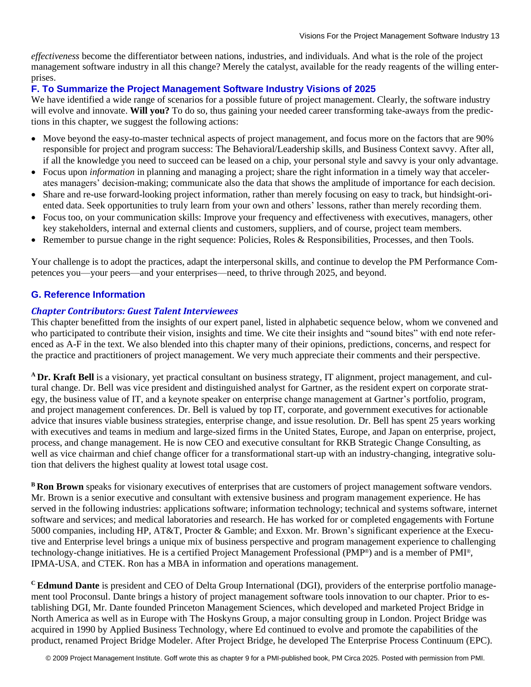*effectiveness* become the differentiator between nations, industries, and individuals. And what is the role of the project management software industry in all this change? Merely the catalyst, available for the ready reagents of the willing enterprises.

## **F. To Summarize the Project Management Software Industry Visions of 2025**

We have identified a wide range of scenarios for a possible future of project management. Clearly, the software industry will evolve and innovate. **Will you?** To do so, thus gaining your needed career transforming take-aways from the predictions in this chapter, we suggest the following actions:

- Move beyond the easy-to-master technical aspects of project management, and focus more on the factors that are 90% responsible for project and program success: The Behavioral/Leadership skills, and Business Context savvy. After all, if all the knowledge you need to succeed can be leased on a chip, your personal style and savvy is your only advantage.
- Focus upon *information* in planning and managing a project; share the right information in a timely way that accelerates managers' decision-making; communicate also the data that shows the amplitude of importance for each decision.
- Share and re-use forward-looking project information, rather than merely focusing on easy to track, but hindsight-oriented data. Seek opportunities to truly learn from your own and others' lessons, rather than merely recording them.
- Focus too, on your communication skills: Improve your frequency and effectiveness with executives, managers, other key stakeholders, internal and external clients and customers, suppliers, and of course, project team members.
- Remember to pursue change in the right sequence: Policies, Roles & Responsibilities, Processes, and then Tools.

Your challenge is to adopt the practices, adapt the interpersonal skills, and continue to develop the PM Performance Competences you—your peers—and your enterprises—need, to thrive through 2025, and beyond.

## **G. Reference Information**

## *Chapter Contributors: Guest Talent Interviewees*

This chapter benefitted from the insights of our expert panel, listed in alphabetic sequence below, whom we convened and who participated to contribute their vision, insights and time. We cite their insights and "sound bites" with end note referenced as A-F in the text. We also blended into this chapter many of their opinions, predictions, concerns, and respect for the practice and practitioners of project management. We very much appreciate their comments and their perspective.

**<sup>A</sup>Dr. Kraft Bell** is a visionary, yet practical consultant on business strategy, IT alignment, project management, and cultural change. Dr. Bell was vice president and distinguished analyst for Gartner, as the resident expert on corporate strategy, the business value of IT, and a keynote speaker on enterprise change management at Gartner's portfolio, program, and project management conferences. Dr. Bell is valued by top IT, corporate, and government executives for actionable advice that insures viable business strategies, enterprise change, and issue resolution. Dr. Bell has spent 25 years working with executives and teams in medium and large-sized firms in the United States, Europe, and Japan on enterprise, project, process, and change management. He is now CEO and executive consultant for RKB Strategic Change Consulting, as well as vice chairman and chief change officer for a transformational start-up with an industry-changing, integrative solution that delivers the highest quality at lowest total usage cost.

**BRon Brown** speaks for visionary executives of enterprises that are customers of project management software vendors. Mr. Brown is a senior executive and consultant with extensive business and program management experience. He has served in the following industries: applications software; information technology; technical and systems software, internet software and services; and medical laboratories and research. He has worked for or completed engagements with Fortune 5000 companies, including HP, AT&T, Procter & Gamble; and Exxon. Mr. Brown's significant experience at the Executive and Enterprise level brings a unique mix of business perspective and program management experience to challenging technology-change initiatives. He is a certified Project Management Professional (PMP®) and is a member of PMI®, IPMA-USA, and CTEK. Ron has a MBA in information and operations management.

**<sup>C</sup>Edmund Dante** is president and CEO of Delta Group International (DGI), providers of the enterprise portfolio management tool Proconsul. Dante brings a history of project management software tools innovation to our chapter. Prior to establishing DGI, Mr. Dante founded Princeton Management Sciences, which developed and marketed Project Bridge in North America as well as in Europe with The Hoskyns Group, a major consulting group in London. Project Bridge was acquired in 1990 by Applied Business Technology, where Ed continued to evolve and promote the capabilities of the product, renamed Project Bridge Modeler. After Project Bridge, he developed The Enterprise Process Continuum (EPC).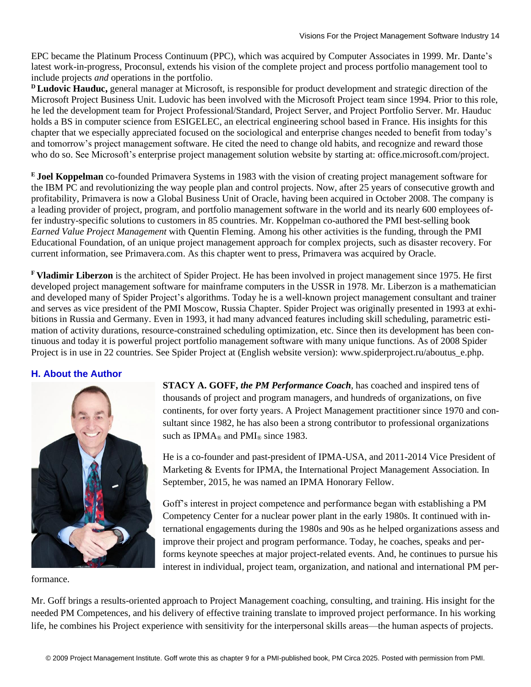EPC became the Platinum Process Continuum (PPC), which was acquired by Computer Associates in 1999. Mr. Dante's latest work-in-progress, Proconsul, extends his vision of the complete project and process portfolio management tool to include projects *and* operations in the portfolio.

**<sup>D</sup>Ludovic Hauduc,** general manager at Microsoft, is responsible for product development and strategic direction of the Microsoft Project Business Unit. Ludovic has been involved with the Microsoft Project team since 1994. Prior to this role, he led the development team for Project Professional/Standard, Project Server, and Project Portfolio Server. Mr. Hauduc holds a BS in computer science from ESIGELEC, an electrical engineering school based in France. His insights for this chapter that we especially appreciated focused on the sociological and enterprise changes needed to benefit from today's and tomorrow's project management software. He cited the need to change old habits, and recognize and reward those who do so. See Microsoft's enterprise project management solution website by starting at: office.microsoft.com/project.

**<sup>E</sup>Joel Koppelman** co-founded Primavera Systems in 1983 with the vision of creating project management software for the IBM PC and revolutionizing the way people plan and control projects. Now, after 25 years of consecutive growth and profitability, Primavera is now a Global Business Unit of Oracle, having been acquired in October 2008. The company is a leading provider of project, program, and portfolio management software in the world and its nearly 600 employees offer industry-specific solutions to customers in 85 countries. Mr. Koppelman co-authored the PMI best-selling book *Earned Value Project Management* with Quentin Fleming. Among his other activities is the funding, through the PMI Educational Foundation, of an unique project management approach for complex projects, such as disaster recovery. For current information, see Primavera.com. As this chapter went to press, Primavera was acquired by Oracle.

**<sup>F</sup>Vladimir Liberzon** is the architect of Spider Project. He has been involved in project management since 1975. He first developed project management software for mainframe computers in the USSR in 1978. Mr. Liberzon is a mathematician and developed many of Spider Project's algorithms. Today he is a well-known project management consultant and trainer and serves as vice president of the PMI Moscow, Russia Chapter. Spider Project was originally presented in 1993 at exhibitions in Russia and Germany. Even in 1993, it had many advanced features including skill scheduling, parametric estimation of activity durations, resource-constrained scheduling optimization, etc. Since then its development has been continuous and today it is powerful project portfolio management software with many unique functions. As of 2008 Spider Project is in use in 22 countries. See Spider Project at (English website version): www.spiderproject.ru/aboutus\_e.php.

## **H. About the Author**



formance.

**STACY A. GOFF,** *the PM Performance Coach*, has coached and inspired tens of thousands of project and program managers, and hundreds of organizations, on five continents, for over forty years. A Project Management practitioner since 1970 and consultant since 1982, he has also been a strong contributor to professional organizations such as IPMA<sup>®</sup> and PMI<sup>®</sup> since 1983.

He is a co-founder and past-president of IPMA-USA, and 2011-2014 Vice President of Marketing & Events for IPMA, the International Project Management Association. In September, 2015, he was named an IPMA Honorary Fellow.

Goff's interest in project competence and performance began with establishing a PM Competency Center for a nuclear power plant in the early 1980s. It continued with international engagements during the 1980s and 90s as he helped organizations assess and improve their project and program performance. Today, he coaches, speaks and performs keynote speeches at major project-related events. And, he continues to pursue his interest in individual, project team, organization, and national and international PM per-

Mr. Goff brings a results-oriented approach to Project Management coaching, consulting, and training. His insight for the needed PM Competences, and his delivery of effective training translate to improved project performance. In his working life, he combines his Project experience with sensitivity for the interpersonal skills areas—the human aspects of projects.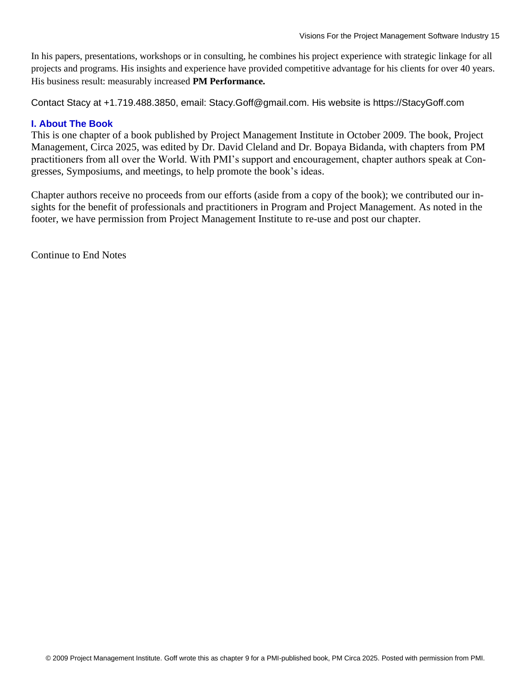In his papers, presentations, workshops or in consulting, he combines his project experience with strategic linkage for all projects and programs. His insights and experience have provided competitive advantage for his clients for over 40 years. His business result: measurably increased **PM Performance.** 

Contact Stacy at +1.719.488.3850, email: Stacy.Goff@gmail.com. His website is https://StacyGoff.com

## **I. About The Book**

This is one chapter of a book published by Project Management Institute in October 2009. The book, Project Management, Circa 2025, was edited by Dr. David Cleland and Dr. Bopaya Bidanda, with chapters from PM practitioners from all over the World. With PMI's support and encouragement, chapter authors speak at Congresses, Symposiums, and meetings, to help promote the book's ideas.

Chapter authors receive no proceeds from our efforts (aside from a copy of the book); we contributed our insights for the benefit of professionals and practitioners in Program and Project Management. As noted in the footer, we have permission from Project Management Institute to re-use and post our chapter.

Continue to End Notes